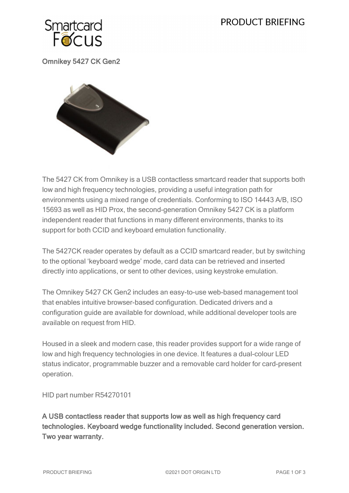# **PRODUCT BRIEFING**



Omnikey 5427 CK Gen2



The 5427 CK from Omnikey is a USB contactless smartcard reader that supports both low and high frequency technologies, providing a useful integration path for environments using a mixed range of credentials. Conforming to ISO 14443 A/B, ISO 15693 as well as HID Prox, the second-generation Omnikey 5427 CK is a platform independent reader that functions in many different environments, thanks to its support for both CCID and keyboard emulation functionality.

The 5427CK reader operates by default as a CCID smartcard reader, but by switching to the optional 'keyboard wedge' mode, card data can be retrieved and inserted directly into applications, or sent to other devices, using keystroke emulation.

The Omnikey 5427 CK Gen2 includes an easy-to-use web-based management tool that enables intuitive browser-based configuration. Dedicated drivers and a configuration guide are available for download, while additional developer tools are available on request from HID.

Housed in a sleek and modern case, this reader provides support for a wide range of low and high frequency technologies in one device. It features a dual-colour LED status indicator, programmable buzzer and a removable card holder for card-present operation.

HID part number R54270101

A USB contactless reader that supports low as well as high frequency card technologies. Keyboard wedge functionality included. Second generation version. Two year warranty.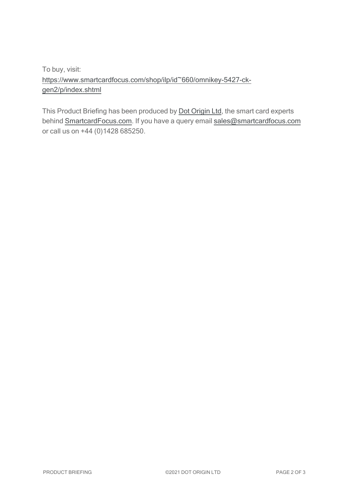To buy, visit: [https://www.smartcardfocus.com/shop/ilp/id~660/omnikey-5427-ck](https://www.smartcardfocus.com/shop/ilp/id~660/omnikey-5427-ck-gen2/p/index.shtml?utm_source=download&utm_medium=pdf&utm_campaign=scf-product-pdf)[gen2/p/index.shtml](https://www.smartcardfocus.com/shop/ilp/id~660/omnikey-5427-ck-gen2/p/index.shtml?utm_source=download&utm_medium=pdf&utm_campaign=scf-product-pdf)

This Product Briefing has been produced by Dot [Origin](https://www.dotorigin.com/) Ltd, the smart card experts behind [SmartcardFocus.com.](https://www.smartcardfocus.com/?utm_source=download&utm_medium=pdf&utm_campaign=scf-product-pdf) If you have a query email [sales@smartcardfocus.com](mailto:sales@smartcardfocus.com?subject=Product Briefing query) or call us on +44 (0)1428 685250.